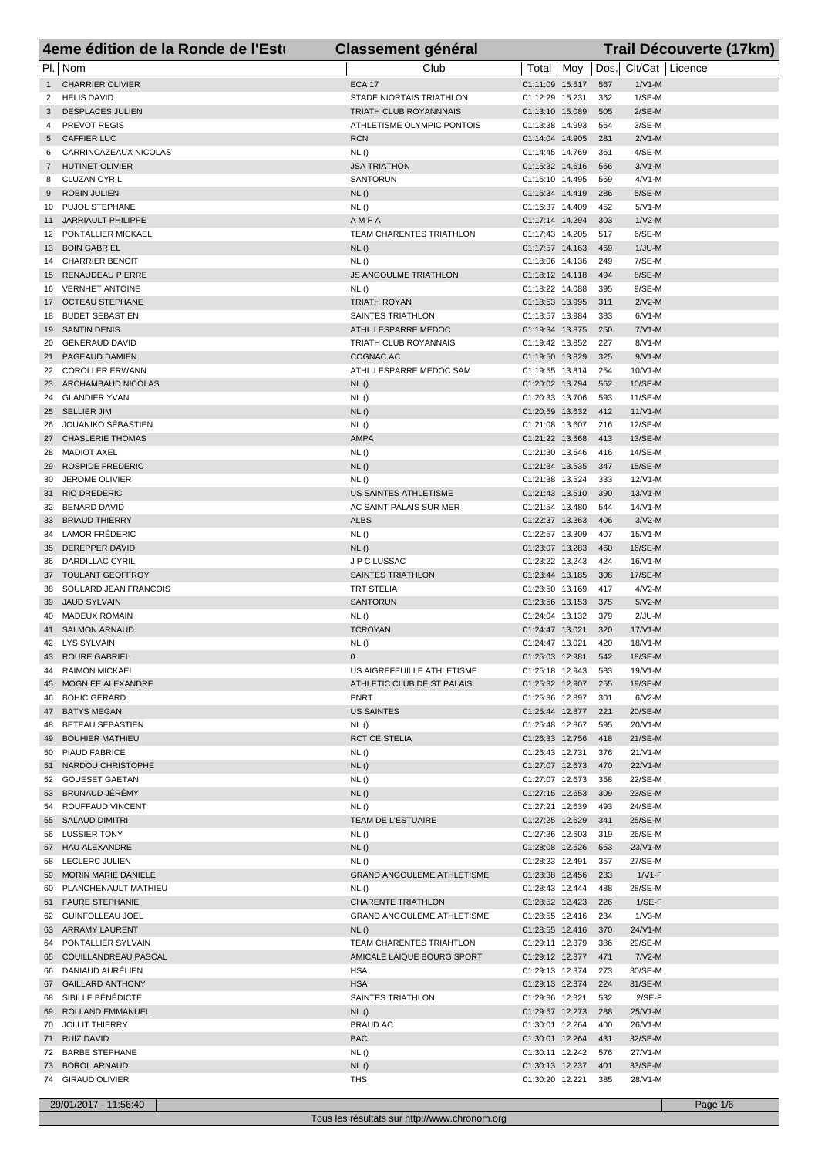|                | 4eme édition de la Ronde de l'Esti            | <b>Classement général</b>         |                                    |            |                      | Trail Découverte (17km) |
|----------------|-----------------------------------------------|-----------------------------------|------------------------------------|------------|----------------------|-------------------------|
|                | $Pl. \overline{Nom}$                          | Club                              | Total   Moy                        | Dos.       | Clt/Cat Licence      |                         |
| $\mathbf{1}$   | <b>CHARRIER OLIVIER</b>                       | <b>ECA 17</b>                     | 01:11:09 15.517                    | 567        | $1/N1-M$             |                         |
| 2              | <b>HELIS DAVID</b>                            | STADE NIORTAIS TRIATHLON          | 01:12:29 15.231                    | 362        | $1/SE-M$             |                         |
| 3              | <b>DESPLACES JULIEN</b>                       | TRIATH CLUB ROYANNNAIS            | 01:13:10 15.089                    | 505        | $2/SE-M$             |                         |
| 4              | <b>PREVOT REGIS</b>                           | ATHLETISME OLYMPIC PONTOIS        | 01:13:38 14.993                    | 564        | 3/SE-M               |                         |
| 5              | <b>CAFFIER LUC</b>                            | <b>RCN</b>                        | 01:14:04 14.905                    | 281        | $2/N1-M$             |                         |
| 6              | CARRINCAZEAUX NICOLAS                         | NL()                              | 01:14:45 14.769                    | 361        | 4/SE-M               |                         |
| $\overline{7}$ | <b>HUTINET OLIVIER</b>                        | <b>JSA TRIATHON</b>               | 01:15:32 14.616                    | 566        | $3/N1-M$             |                         |
| 8              | <b>CLUZAN CYRIL</b>                           | <b>SANTORUN</b>                   | 01:16:10 14.495                    | 569        | $4/N1-M$             |                         |
| 9              | <b>ROBIN JULIEN</b>                           | NL()                              | 01:16:34 14.419                    | 286        | 5/SE-M               |                         |
| 10             | PUJOL STEPHANE                                | NL ()                             | 01:16:37 14.409                    | 452        | $5/N1-M$             |                         |
| 11             | JARRIAULT PHILIPPE                            | AMPA                              | 01:17:14 14.294                    | 303        | $1/N2-M$             |                         |
|                | 12 PONTALLIER MICKAEL                         | TEAM CHARENTES TRIATHLON          | 01:17:43 14.205                    | 517        | 6/SE-M               |                         |
| 13<br>14       | <b>BOIN GABRIEL</b><br><b>CHARRIER BENOIT</b> | NL()<br>NL()                      | 01:17:57 14.163<br>01:18:06 14.136 | 469<br>249 | $1/JU-M$<br>7/SE-M   |                         |
|                | 15 RENAUDEAU PIERRE                           | <b>JS ANGOULME TRIATHLON</b>      | 01:18:12 14.118                    | 494        | 8/SE-M               |                         |
| 16             | <b>VERNHET ANTOINE</b>                        | NL()                              | 01:18:22 14.088                    | 395        | $9/SE-M$             |                         |
|                | 17 OCTEAU STEPHANE                            | <b>TRIATH ROYAN</b>               | 01:18:53 13.995                    | 311        | $2/N2-M$             |                         |
| 18             | <b>BUDET SEBASTIEN</b>                        | SAINTES TRIATHLON                 | 01:18:57 13.984                    | 383        | $6/N1-M$             |                         |
|                | 19 SANTIN DENIS                               | ATHL LESPARRE MEDOC               | 01:19:34 13.875                    | 250        | $7/N1-M$             |                         |
| 20             | <b>GENERAUD DAVID</b>                         | TRIATH CLUB ROYANNAIS             | 01:19:42 13.852                    | 227        | $8/N1-M$             |                         |
| 21             | PAGEAUD DAMIEN                                | COGNAC.AC                         | 01:19:50 13.829                    | 325        | $9/N1-M$             |                         |
|                | 22 COROLLER ERWANN                            | ATHL LESPARRE MEDOC SAM           | 01:19:55 13.814                    | 254        | $10/V1-M$            |                         |
|                | 23 ARCHAMBAUD NICOLAS                         | NL()                              | 01:20:02 13.794                    | 562        | 10/SE-M              |                         |
|                | 24 GLANDIER YVAN                              | NL()                              | 01:20:33 13.706                    | 593        | 11/SE-M              |                         |
|                | 25 SELLIER JIM                                | NL()                              | 01:20:59 13.632                    | 412        | $11/V1-M$            |                         |
|                | 26 JOUANIKO SÉBASTIEN                         | NL()                              | 01:21:08 13.607                    | 216        | 12/SE-M              |                         |
|                | 27 CHASLERIE THOMAS                           | <b>AMPA</b>                       | 01:21:22 13.568                    | 413        | 13/SE-M              |                         |
|                | 28 MADIOT AXEL                                | NL()                              | 01:21:30 13.546                    | 416        | 14/SE-M              |                         |
| 29             | <b>ROSPIDE FREDERIC</b>                       | NL()                              | 01:21:34 13.535                    | 347        | 15/SE-M              |                         |
|                | 30 JEROME OLIVIER                             | NL()                              | 01:21:38 13.524                    | 333        | 12/V1-M              |                         |
| 31             | <b>RIO DREDERIC</b>                           | US SAINTES ATHLETISME             | 01:21:43 13.510                    | 390        | $13/N1-M$            |                         |
|                | 32 BENARD DAVID                               | AC SAINT PALAIS SUR MER           | 01:21:54 13.480                    | 544        | 14/V1-M              |                         |
|                | 33 BRIAUD THIERRY                             | <b>ALBS</b>                       | 01:22:37 13.363                    | 406        | $3/N2-M$             |                         |
| 34             | LAMOR FRÉDERIC<br>35 DEREPPER DAVID           | NL()                              | 01:22:57 13.309                    | 407<br>460 | 15/V1-M              |                         |
|                | 36 DARDILLAC CYRIL                            | NL()<br>J P C LUSSAC              | 01:23:07 13.283<br>01:23:22 13.243 | 424        | 16/SE-M<br>16/V1-M   |                         |
|                | 37 TOULANT GEOFFROY                           | SAINTES TRIATHLON                 | 01:23:44 13.185                    | 308        | 17/SE-M              |                         |
| 38             | SOULARD JEAN FRANCOIS                         | <b>TRT STELIA</b>                 | 01:23:50 13.169                    | 417        | $4/N2-M$             |                         |
| 39             | <b>JAUD SYLVAIN</b>                           | <b>SANTORUN</b>                   | 01:23:56 13.153                    | 375        | $5/N2-M$             |                         |
| 40             | <b>MADEUX ROMAIN</b>                          | NL()                              | 01:24:04 13.132                    | 379        | $2/JU-M$             |                         |
|                | 41 SALMON ARNAUD                              | <b>TCROYAN</b>                    | 01:24:47 13.021                    | 320        | $17/N1-M$            |                         |
|                | 42 LYS SYLVAIN                                | NL()                              | 01:24:47 13.021                    | 420        | 18/V1-M              |                         |
|                | 43 ROURE GABRIEL                              | 0                                 | 01:25:03 12.981                    | 542        | 18/SE-M              |                         |
|                | 44 RAIMON MICKAEL                             | US AIGREFEUILLE ATHLETISME        | 01:25:18 12.943                    | 583        | 19/V1-M              |                         |
|                | 45 MOGNIEE ALEXANDRE                          | ATHLETIC CLUB DE ST PALAIS        | 01:25:32 12.907                    | 255        | 19/SE-M              |                         |
| 46             | <b>BOHIC GERARD</b>                           | PNRT                              | 01:25:36 12.897                    | 301        | $6/N2-M$             |                         |
|                | 47 BATYS MEGAN                                | <b>US SAINTES</b>                 | 01:25:44 12.877                    | 221        | 20/SE-M              |                         |
| 48             | BETEAU SEBASTIEN                              | NL ()                             | 01:25:48 12.867                    | 595        | 20/V1-M              |                         |
| 49             | <b>BOUHIER MATHIEU</b>                        | <b>RCT CE STELIA</b>              | 01:26:33 12.756                    | 418        | 21/SE-M              |                         |
|                | 50 PIAUD FABRICE                              | NL()                              | 01:26:43 12.731                    | 376        | $21/N1-M$            |                         |
|                | 51 NARDOU CHRISTOPHE                          | NL()                              | 01:27:07 12.673                    | 470        | 22/V1-M              |                         |
|                | 52 GOUESET GAETAN                             | <b>NL()</b>                       | 01:27:07 12.673                    | 358        | 22/SE-M              |                         |
|                | 53 BRUNAUD JÉRÉMY                             | NL()                              | 01:27:15 12.653                    | 309        | 23/SE-M              |                         |
|                | 54 ROUFFAUD VINCENT                           | NL()                              | 01:27:21 12.639                    | 493        | 24/SE-M              |                         |
|                | 55 SALAUD DIMITRI                             | TEAM DE L'ESTUAIRE                | 01:27:25 12.629<br>01:27:36 12.603 | 341<br>319 | 25/SE-M              |                         |
|                | 56 LUSSIER TONY<br>57 HAU ALEXANDRE           | NL()<br>NL()                      | 01:28:08 12.526                    | 553        | 26/SE-M<br>$23/N1-M$ |                         |
|                | 58 LECLERC JULIEN                             | NL()                              | 01:28:23 12.491                    | 357        | 27/SE-M              |                         |
|                | 59 MORIN MARIE DANIELE                        | <b>GRAND ANGOULEME ATHLETISME</b> | 01:28:38 12.456                    | 233        | $1/V1-F$             |                         |
|                | 60 PLANCHENAULT MATHIEU                       | NL()                              | 01:28:43 12.444                    | 488        | 28/SE-M              |                         |
|                | 61 FAURE STEPHANIE                            | CHARENTE TRIATHLON                | 01:28:52 12.423                    | 226        | $1/SE-F$             |                         |
|                | 62 GUINFOLLEAU JOEL                           | <b>GRAND ANGOULEME ATHLETISME</b> | 01:28:55 12.416                    | 234        | $1/\nu$ 3-M          |                         |
|                | 63 ARRAMY LAURENT                             | NL()                              | 01:28:55 12.416                    | 370        | 24/V1-M              |                         |
|                | 64 PONTALLIER SYLVAIN                         | TEAM CHARENTES TRIAHTLON          | 01:29:11 12.379                    | 386        | 29/SE-M              |                         |
|                | 65 COUILLANDREAU PASCAL                       | AMICALE LAIQUE BOURG SPORT        | 01:29:12 12.377                    | 471        | $7/N2-M$             |                         |
|                | 66 DANIAUD AURÉLIEN                           | <b>HSA</b>                        | 01:29:13 12.374                    | 273        | 30/SE-M              |                         |
|                | 67 GAILLARD ANTHONY                           | <b>HSA</b>                        | 01:29:13 12.374                    | 224        | 31/SE-M              |                         |
|                | 68 SIBILLE BÉNÉDICTE                          | SAINTES TRIATHLON                 | 01:29:36 12.321                    | 532        | $2/SE-F$             |                         |
|                | 69 ROLLAND EMMANUEL                           | NL()                              | 01:29:57 12.273                    | 288        | 25/V1-M              |                         |
|                | 70 JOLLIT THIERRY                             | <b>BRAUD AC</b>                   | 01:30:01 12.264                    | 400        | 26/V1-M              |                         |
|                | 71 RUIZ DAVID                                 | <b>BAC</b>                        | 01:30:01 12.264                    | 431        | 32/SE-M              |                         |
|                | 72 BARBE STEPHANE                             | NL()                              | 01:30:11 12.242                    | 576        | 27/V1-M              |                         |
|                | 73 BOROL ARNAUD                               | NL()                              | 01:30:13 12.237                    | 401        | 33/SE-M              |                         |
|                | 74 GIRAUD OLIVIER                             | <b>THS</b>                        | 01:30:20 12.221                    | 385        | 28/V1-M              |                         |

29/01/2017 - 11:56:40 Page 1/6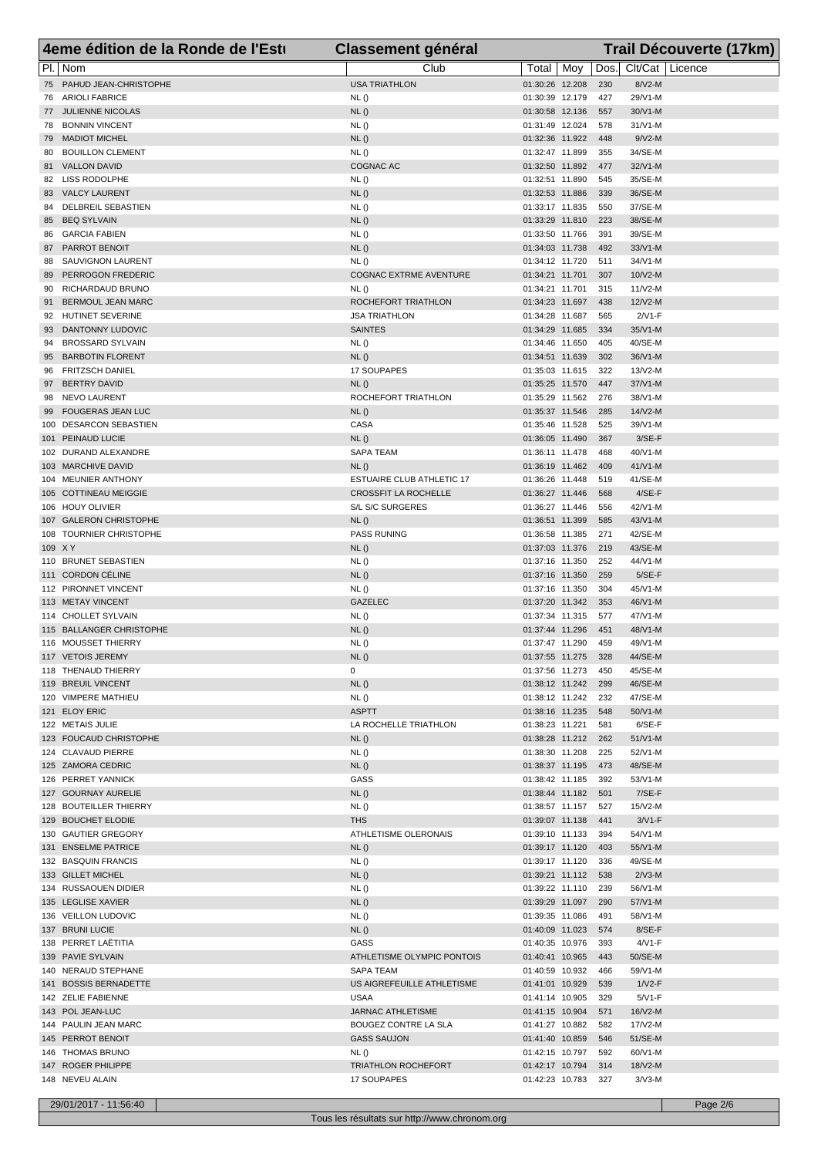|          | 4eme édition de la Ronde de l'Esti           | <b>Classement général</b>                 |                                    |            |                       | Trail Découverte (17km) |
|----------|----------------------------------------------|-------------------------------------------|------------------------------------|------------|-----------------------|-------------------------|
|          | PI.   Nom                                    | Club                                      | Total   Moy                        | Dos.       | Clt/Cat Licence       |                         |
|          | 75 PAHUD JEAN-CHRISTOPHE                     | <b>USA TRIATHLON</b>                      | 01:30:26 12.208                    | 230        | 8/V2-M                |                         |
|          | 76 ARIOLI FABRICE                            | NL()                                      | 01:30:39 12.179                    | 427        | 29/V1-M               |                         |
|          | 77 JULIENNE NICOLAS                          | NL()                                      | 01:30:58 12.136                    | 557        | 30/V1-M               |                         |
| 79       | 78 BONNIN VINCENT<br><b>MADIOT MICHEL</b>    | NL()<br>NL()                              | 01:31:49 12.024<br>01:32:36 11.922 | 578<br>448 | $31/N1-M$<br>$9/N2-M$ |                         |
| 80       | <b>BOUILLON CLEMENT</b>                      | NL()                                      | 01:32:47 11.899                    | 355        | 34/SE-M               |                         |
|          | 81 VALLON DAVID                              | COGNAC AC                                 | 01:32:50 11.892                    | 477        | $32/N1-M$             |                         |
|          | 82 LISS RODOLPHE                             | NL()                                      | 01:32:51 11.890                    | 545        | 35/SE-M               |                         |
|          | 83 VALCY LAURENT                             | NL()                                      | 01:32:53 11.886                    | 339        | 36/SE-M               |                         |
|          | 84 DELBREIL SEBASTIEN                        | NL()                                      | 01:33:17 11.835                    | 550        | 37/SE-M               |                         |
| 85       | <b>BEQ SYLVAIN</b>                           | NL()                                      | 01:33:29 11.810                    | 223<br>391 | 38/SE-M               |                         |
| 86<br>87 | <b>GARCIA FABIEN</b><br><b>PARROT BENOIT</b> | NL()<br>NL()                              | 01:33:50 11.766<br>01:34:03 11.738 | 492        | 39/SE-M<br>$33/N1-M$  |                         |
| 88       | SAUVIGNON LAURENT                            | NL()                                      | 01:34:12 11.720                    | 511        | 34/V1-M               |                         |
| 89       | PERROGON FREDERIC                            | COGNAC EXTRME AVENTURE                    | 01:34:21 11.701                    | 307        | 10/V2-M               |                         |
| 90       | RICHARDAUD BRUNO                             | NL()                                      | 01:34:21 11.701                    | 315        | $11/V2-M$             |                         |
| 91       | <b>BERMOUL JEAN MARC</b>                     | ROCHEFORT TRIATHLON                       | 01:34:23 11.697                    | 438        | 12/V2-M               |                         |
|          | 92 HUTINET SEVERINE                          | <b>JSA TRIATHLON</b>                      | 01:34:28 11.687                    | 565        | $2/N1-F$              |                         |
| 93<br>94 | DANTONNY LUDOVIC<br><b>BROSSARD SYLVAIN</b>  | <b>SAINTES</b><br>NL()                    | 01:34:29 11.685<br>01:34:46 11.650 | 334<br>405 | $35/N1-M$<br>40/SE-M  |                         |
|          | 95 BARBOTIN FLORENT                          | NL()                                      | 01:34:51 11.639                    | 302        | 36/V1-M               |                         |
| 96       | <b>FRITZSCH DANIEL</b>                       | 17 SOUPAPES                               | 01:35:03 11.615                    | 322        | 13/V2-M               |                         |
| 97       | <b>BERTRY DAVID</b>                          | NL()                                      | 01:35:25 11.570                    | 447        | $37/N1-M$             |                         |
| 98       | NEVO LAURENT                                 | ROCHEFORT TRIATHLON                       | 01:35:29 11.562                    | 276        | $38/V1-M$             |                         |
| 99       | <b>FOUGERAS JEAN LUC</b>                     | NL()                                      | 01:35:37 11.546                    | 285        | $14/N2-M$             |                         |
|          | 100 DESARCON SEBASTIEN                       | CASA                                      | 01:35:46 11.528                    | 525        | 39/V1-M               |                         |
|          | 101 PEINAUD LUCIE<br>102 DURAND ALEXANDRE    | NL()<br>SAPA TEAM                         | 01:36:05 11.490<br>01:36:11 11.478 | 367<br>468 | $3/SE-F$<br>40/V1-M   |                         |
|          | 103 MARCHIVE DAVID                           | NL()                                      | 01:36:19 11.462                    | 409        | $41/N1-M$             |                         |
|          | 104 MEUNIER ANTHONY                          | ESTUAIRE CLUB ATHLETIC 17                 | 01:36:26 11.448                    | 519        | 41/SE-M               |                         |
|          | 105 COTTINEAU MEIGGIE                        | <b>CROSSFIT LA ROCHELLE</b>               | 01:36:27 11.446                    | 568        | $4/SE-F$              |                         |
|          | 106 HOUY OLIVIER                             | S/L S/C SURGERES                          | 01:36:27 11.446                    | 556        | 42/V1-M               |                         |
|          | 107 GALERON CHRISTOPHE                       | NL()                                      | 01:36:51 11.399                    | 585        | $43/N1-M$             |                         |
|          | 108 TOURNIER CHRISTOPHE                      | <b>PASS RUNING</b>                        | 01:36:58 11.385                    | 271        | 42/SE-M               |                         |
| 109 X Y  | 110 BRUNET SEBASTIEN                         | NL()<br>NL()                              | 01:37:03 11.376<br>01:37:16 11.350 | 219<br>252 | 43/SE-M<br>44/V1-M    |                         |
|          | 111 CORDON CÉLINE                            | NL()                                      | 01:37:16 11.350                    | 259        | $5/SE-F$              |                         |
|          | 112 PIRONNET VINCENT                         | <b>NL()</b>                               | 01:37:16 11.350                    | 304        | 45/V1-M               |                         |
|          | 113 METAY VINCENT                            | <b>GAZELEC</b>                            | 01:37:20 11.342                    | 353        | 46/V1-M               |                         |
|          | 114 CHOLLET SYLVAIN                          | NL()                                      | 01:37:34 11.315                    | 577        | 47/V1-M               |                         |
|          | 115 BALLANGER CHRISTOPHE                     | NL()                                      | 01:37:44 11.296                    | 451        | 48/V1-M               |                         |
|          | 116 MOUSSET THIERRY<br>117 VETOIS JEREMY     | NL()<br>NL()                              | 01:37:47 11.290<br>01:37:55 11.275 | 459<br>328 | 49/V1-M<br>44/SE-M    |                         |
|          | 118 THENAUD THIERRY                          | 0                                         | 01:37:56 11.273                    | 450        | 45/SE-M               |                         |
|          | 119 BREUIL VINCENT                           | NL()                                      | 01:38:12 11.242                    | 299        | 46/SE-M               |                         |
|          | 120 VIMPERE MATHIEU                          | NL ()                                     | 01:38:12 11.242                    | 232        | 47/SE-M               |                         |
|          | 121 ELOY ERIC                                | <b>ASPTT</b>                              | 01:38:16 11.235                    | 548        | 50/V1-M               |                         |
|          | 122 METAIS JULIE                             | LA ROCHELLE TRIATHLON                     | 01:38:23 11.221                    | 581        | $6/SE-F$              |                         |
|          | 123 FOUCAUD CHRISTOPHE                       | NL()                                      | 01:38:28 11.212                    | 262        | $51/V1-M$             |                         |
|          | 124 CLAVAUD PIERRE<br>125 ZAMORA CEDRIC      | NL ()<br>NL()                             | 01:38:30 11.208<br>01:38:37 11.195 | 225<br>473 | 52/V1-M<br>48/SE-M    |                         |
|          | 126 PERRET YANNICK                           | GASS                                      | 01:38:42 11.185                    | 392        | 53/V1-M               |                         |
|          | 127 GOURNAY AURELIE                          | NL()                                      | 01:38:44 11.182                    | 501        | $7/SE-F$              |                         |
|          | 128 BOUTEILLER THIERRY                       | NL ()                                     | 01:38:57 11.157                    | 527        | 15/V2-M               |                         |
|          | 129 BOUCHET ELODIE                           | <b>THS</b>                                | 01:39:07 11.138                    | 441        | $3/N1-F$              |                         |
|          | 130 GAUTIER GREGORY                          | ATHLETISME OLERONAIS                      | 01:39:10 11.133                    | 394        | 54/V1-M               |                         |
|          | 131 ENSELME PATRICE<br>132 BASQUIN FRANCIS   | NL()<br>NL ()                             | 01:39:17 11.120<br>01:39:17 11.120 | 403<br>336 | 55/V1-M<br>49/SE-M    |                         |
|          | 133 GILLET MICHEL                            | NL()                                      | 01:39:21 11.112                    | 538        | $2/N3-M$              |                         |
|          | 134 RUSSAOUEN DIDIER                         | <b>NL()</b>                               | 01:39:22 11.110                    | 239        | 56/V1-M               |                         |
|          | 135 LEGLISE XAVIER                           | NL()                                      | 01:39:29 11.097                    | 290        | 57/V1-M               |                         |
|          | 136 VEILLON LUDOVIC                          | NL ()                                     | 01:39:35 11.086                    | 491        | 58/V1-M               |                         |
|          | 137 BRUNI LUCIE                              | NL()                                      | 01:40:09 11.023                    | 574        | $8/SE-F$              |                         |
|          | 138 PERRET LAËTITIA                          | GASS                                      | 01:40:35 10.976                    | 393        | $4/VI$ -F             |                         |
|          | 139 PAVIE SYLVAIN<br>140 NERAUD STEPHANE     | ATHLETISME OLYMPIC PONTOIS<br>SAPA TEAM   | 01:40:41 10.965<br>01:40:59 10.932 | 443<br>466 | 50/SE-M<br>59/V1-M    |                         |
|          | 141 BOSSIS BERNADETTE                        | US AIGREFEUILLE ATHLETISME                | 01:41:01 10.929                    | 539        | $1/N2-F$              |                         |
|          | 142 ZELIE FABIENNE                           | USAA                                      | 01:41:14 10.905                    | 329        | $5/N1-F$              |                         |
|          | 143 POL JEAN-LUC                             | <b>JARNAC ATHLETISME</b>                  | 01:41:15 10.904                    | 571        | 16/V2-M               |                         |
|          | 144 PAULIN JEAN MARC                         | BOUGEZ CONTRE LA SLA                      | 01:41:27 10.882                    | 582        | 17/V2-M               |                         |
|          | 145 PERROT BENOIT                            | <b>GASS SAUJON</b>                        | 01:41:40 10.859                    | 546        | 51/SE-M               |                         |
|          | 146 THOMAS BRUNO<br>147 ROGER PHILIPPE       | <b>NL()</b><br><b>TRIATHLON ROCHEFORT</b> | 01:42:15 10.797<br>01:42:17 10.794 | 592<br>314 | 60/V1-M<br>18/V2-M    |                         |
|          | 148 NEVEU ALAIN                              | 17 SOUPAPES                               | 01:42:23 10.783                    | 327        | $3/N3-M$              |                         |
|          |                                              |                                           |                                    |            |                       |                         |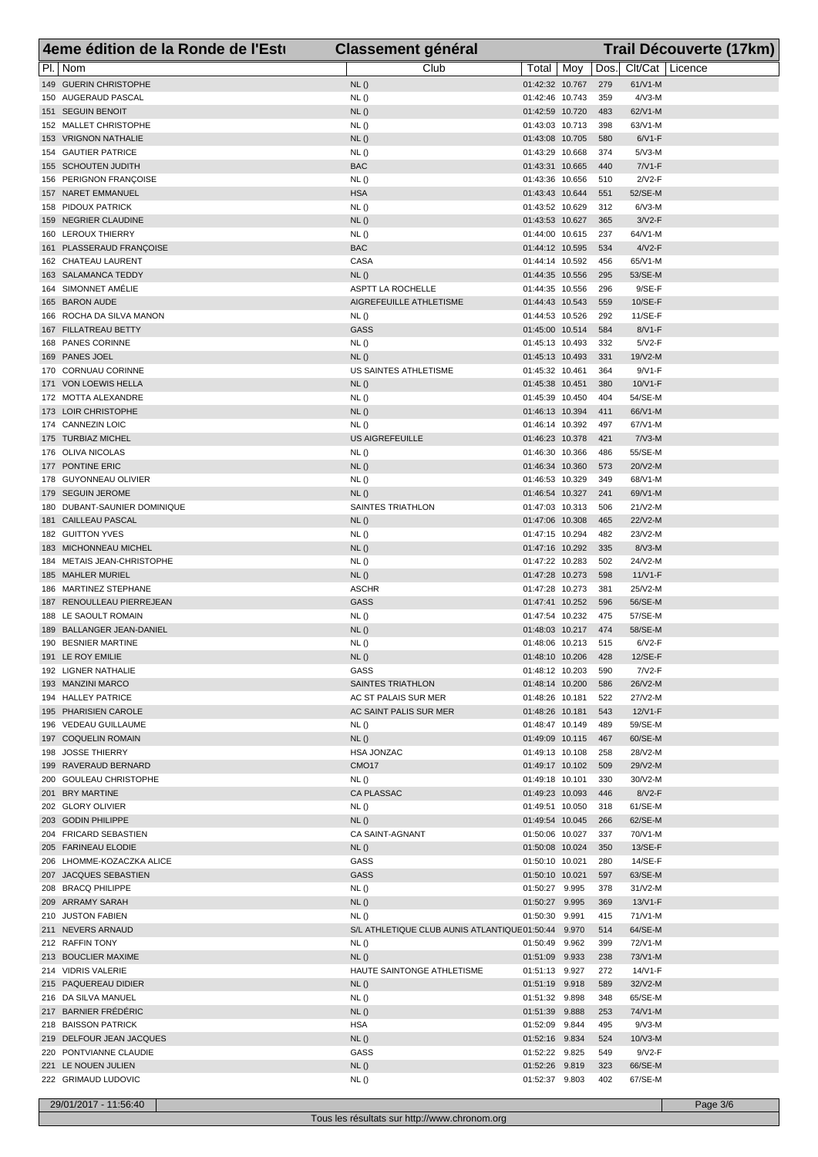| 4eme édition de la Ronde de l'Esti             | <b>Classement général</b>                           |                                    |     |            | Trail Découverte (17km) |  |
|------------------------------------------------|-----------------------------------------------------|------------------------------------|-----|------------|-------------------------|--|
| PI.   Nom                                      | Club                                                | Total                              | Moy | Dos.       | Clt/Cat   Licence       |  |
| 149 GUERIN CHRISTOPHE                          | NL()                                                | 01:42:32 10.767                    |     | 279        | 61/V1-M                 |  |
| 150 AUGERAUD PASCAL                            | NL()                                                | 01:42:46 10.743                    |     | 359        | $4/\sqrt{3}$ -M         |  |
| 151 SEGUIN BENOIT                              | NL()                                                | 01:42:59 10.720                    |     | 483        | 62/V1-M                 |  |
| 152 MALLET CHRISTOPHE                          | NL()                                                | 01:43:03 10.713                    |     | 398        | 63/V1-M                 |  |
| 153 VRIGNON NATHALIE                           | NL()                                                | 01:43:08 10.705                    |     | 580        | $6/N1-F$                |  |
| 154 GAUTIER PATRICE                            | NL()                                                | 01:43:29 10.668                    |     | 374        | $5/N3-M$                |  |
| 155 SCHOUTEN JUDITH                            | <b>BAC</b>                                          | 01:43:31 10.665                    |     | 440        | $7/N1-F$                |  |
| 156 PERIGNON FRANÇOISE                         | NL()                                                | 01:43:36 10.656                    |     | 510        | $2N2-F$                 |  |
| 157 NARET EMMANUEL                             | <b>HSA</b>                                          | 01:43:43 10.644                    |     | 551        | 52/SE-M                 |  |
| 158 PIDOUX PATRICK                             | NL()                                                | 01:43:52 10.629                    |     | 312        | $6/N3-M$                |  |
| 159 NEGRIER CLAUDINE                           | NL()                                                | 01:43:53 10.627                    |     | 365        | $3/N2-F$                |  |
| 160 LEROUX THIERRY<br>161 PLASSERAUD FRANÇOISE | NL()<br><b>BAC</b>                                  | 01:44:00 10.615<br>01:44:12 10.595 |     | 237<br>534 | 64/V1-M<br>$4/V2-F$     |  |
| 162 CHATEAU LAURENT                            | CASA                                                | 01:44:14 10.592                    |     | 456        | 65/V1-M                 |  |
| 163 SALAMANCA TEDDY                            | NL()                                                | 01:44:35 10.556                    |     | 295        | 53/SE-M                 |  |
| 164 SIMONNET AMÉLIE                            | ASPTT LA ROCHELLE                                   | 01:44:35 10.556                    |     | 296        | $9/SE-F$                |  |
| 165 BARON AUDE                                 | AIGREFEUILLE ATHLETISME                             | 01:44:43 10.543                    |     | 559        | 10/SE-F                 |  |
| 166 ROCHA DA SILVA MANON                       | NL()                                                | 01:44:53 10.526                    |     | 292        | 11/SE-F                 |  |
| 167 FILLATREAU BETTY                           | <b>GASS</b>                                         | 01:45:00 10.514                    |     | 584        | 8/V1-F                  |  |
| 168 PANES CORINNE                              | NL()                                                | 01:45:13 10.493                    |     | 332        | $5/N2-F$                |  |
| 169 PANES JOEL                                 | NL()                                                | 01:45:13 10.493                    |     | 331        | 19/V2-M                 |  |
| 170 CORNUAU CORINNE                            | US SAINTES ATHLETISME                               | 01:45:32 10.461                    |     | 364        | $9/N1-F$                |  |
| 171 VON LOEWIS HELLA                           | NL()                                                | 01:45:38 10.451                    |     | 380        | 10/V1-F                 |  |
| 172 MOTTA ALEXANDRE                            | NL()                                                | 01:45:39 10.450                    |     | 404        | 54/SE-M                 |  |
| 173 LOIR CHRISTOPHE                            | NL()                                                | 01:46:13 10.394                    |     | 411        | 66/V1-M                 |  |
| 174 CANNEZIN LOIC                              | NL()                                                | 01:46:14 10.392                    |     | 497        | 67/V1-M                 |  |
| 175 TURBIAZ MICHEL                             | <b>US AIGREFEUILLE</b>                              | 01:46:23 10.378                    |     | 421        | $7/N3-M$                |  |
| 176 OLIVA NICOLAS                              | NL()                                                | 01:46:30 10.366                    |     | 486        | 55/SE-M                 |  |
| 177 PONTINE ERIC                               | NL()                                                | 01:46:34 10.360                    |     | 573        | 20/V2-M                 |  |
| 178 GUYONNEAU OLIVIER                          | NL()                                                | 01:46:53 10.329                    |     | 349        | 68/V1-M                 |  |
| 179 SEGUIN JEROME                              | NL()                                                | 01:46:54 10.327                    |     | 241        | 69/V1-M                 |  |
| 180 DUBANT-SAUNIER DOMINIQUE                   | SAINTES TRIATHLON                                   | 01:47:03 10.313                    |     | 506        | $21/N2-M$               |  |
| 181 CAILLEAU PASCAL<br>182 GUITTON YVES        | NL()                                                | 01:47:06 10.308                    |     | 465        | 22/V2-M                 |  |
| 183 MICHONNEAU MICHEL                          | NL()<br>NL()                                        | 01:47:15 10.294<br>01:47:16 10.292 |     | 482<br>335 | 23/V2-M<br>$8/N3-M$     |  |
| 184 METAIS JEAN-CHRISTOPHE                     | NL()                                                | 01:47:22 10.283                    |     | 502        | 24/V2-M                 |  |
| 185 MAHLER MURIEL                              | NL()                                                | 01:47:28 10.273                    |     | 598        | $11/N1-F$               |  |
| 186 MARTINEZ STEPHANE                          | <b>ASCHR</b>                                        | 01:47:28 10.273                    |     | 381        | 25/V2-M                 |  |
| 187 RENOULLEAU PIERREJEAN                      | GASS                                                | 01:47:41 10.252                    |     | 596        | 56/SE-M                 |  |
| 188 LE SAOULT ROMAIN                           | NL()                                                | 01:47:54 10.232                    |     | 475        | 57/SE-M                 |  |
| 189 BALLANGER JEAN-DANIEL                      | NL()                                                | 01:48:03 10.217                    |     | 474        | 58/SE-M                 |  |
| 190 BESNIER MARTINE                            | NL()                                                | 01:48:06 10.213                    |     | 515        | $6/N2-F$                |  |
| 191 LE ROY EMILIE                              | NL()                                                | 01:48:10 10.206                    |     | 428        | 12/SE-F                 |  |
| 192 LIGNER NATHALIE                            | GASS                                                | 01:48:12 10.203                    |     | 590        | 7/V2-F                  |  |
| 193 MANZINI MARCO                              | SAINTES TRIATHLON                                   | 01:48:14 10.200                    |     | 586        | 26/V2-M                 |  |
| 194 HALLEY PATRICE                             | AC ST PALAIS SUR MER                                | 01:48:26 10.181                    |     | 522        | 27/V2-M                 |  |
| 195 PHARISIEN CAROLE                           | AC SAINT PALIS SUR MER                              | 01:48:26 10.181                    |     | 543        | 12/V1-F                 |  |
| 196 VEDEAU GUILLAUME                           | NL()                                                | 01:48:47 10.149                    |     | 489        | 59/SE-M                 |  |
| 197 COQUELIN ROMAIN                            | NL()                                                | 01:49:09 10.115                    |     | 467        | 60/SE-M                 |  |
| 198 JOSSE THIERRY                              | <b>HSA JONZAC</b>                                   | 01:49:13 10.108                    |     | 258        | 28/V2-M                 |  |
| 199 RAVERAUD BERNARD<br>200 GOULEAU CHRISTOPHE | CMO17<br>NL ()                                      | 01:49:17 10.102<br>01:49:18 10.101 |     | 509<br>330 | 29/V2-M<br>30/V2-M      |  |
| 201 BRY MARTINE                                | CA PLASSAC                                          | 01:49:23 10.093                    |     | 446        | $8/V2-F$                |  |
| 202 GLORY OLIVIER                              | NL ()                                               | 01:49:51 10.050                    |     | 318        | 61/SE-M                 |  |
| 203 GODIN PHILIPPE                             | NL()                                                | 01:49:54 10.045                    |     | 266        | 62/SE-M                 |  |
| 204 FRICARD SEBASTIEN                          | CA SAINT-AGNANT                                     | 01:50:06 10.027                    |     | 337        | 70/V1-M                 |  |
| 205 FARINEAU ELODIE                            | NL()                                                | 01:50:08 10.024                    |     | 350        | 13/SE-F                 |  |
| 206 LHOMME-KOZACZKA ALICE                      | GASS                                                | 01:50:10 10.021                    |     | 280        | 14/SE-F                 |  |
| 207 JACQUES SEBASTIEN                          | GASS                                                | 01:50:10 10.021                    |     | 597        | 63/SE-M                 |  |
| 208 BRACQ PHILIPPE                             | NL ()                                               | 01:50:27 9.995                     |     | 378        | $31/N2-M$               |  |
| 209 ARRAMY SARAH                               | NL()                                                | 01:50:27 9.995                     |     | 369        | 13/V1-F                 |  |
| 210 JUSTON FABIEN                              | NL()                                                | 01:50:30 9.991                     |     | 415        | 71/V1-M                 |  |
| 211 NEVERS ARNAUD                              | S/L ATHLETIQUE CLUB AUNIS ATLANTIQUE 01:50:44 9.970 |                                    |     | 514        | 64/SE-M                 |  |
| 212 RAFFIN TONY                                | NL()                                                | 01:50:49 9.962                     |     | 399        | 72/V1-M                 |  |
| 213 BOUCLIER MAXIME                            | NL()                                                | 01:51:09 9.933                     |     | 238        | 73/V1-M                 |  |
| 214 VIDRIS VALERIE                             | HAUTE SAINTONGE ATHLETISME                          | 01:51:13 9.927                     |     | 272        | 14/V1-F                 |  |
| 215 PAQUEREAU DIDIER                           | NL()                                                | 01:51:19 9.918                     |     | 589        | 32/V2-M                 |  |
| 216 DA SILVA MANUEL                            | NL()                                                | 01:51:32 9.898                     |     | 348        | 65/SE-M                 |  |
| 217 BARNIER FRÉDÉRIC                           | NL()                                                | 01:51:39 9.888                     |     | 253        | 74/V1-M                 |  |
| 218 BAISSON PATRICK                            | <b>HSA</b>                                          | 01:52:09 9.844                     |     | 495        | $9/N3-M$                |  |
| 219 DELFOUR JEAN JACQUES                       | NL()                                                | 01:52:16 9.834                     |     | 524        | $10/N3-M$               |  |
| 220 PONTVIANNE CLAUDIE<br>221 LE NOUEN JULIEN  | GASS                                                | 01:52:22 9.825                     |     | 549<br>323 | $9/N2-F$<br>66/SE-M     |  |
| 222 GRIMAUD LUDOVIC                            | NL()<br>NL ()                                       | 01:52:26 9.819<br>01:52:37 9.803   |     | 402        | 67/SE-M                 |  |
|                                                |                                                     |                                    |     |            |                         |  |

29/01/2017 - 11:56:40 Page 3/6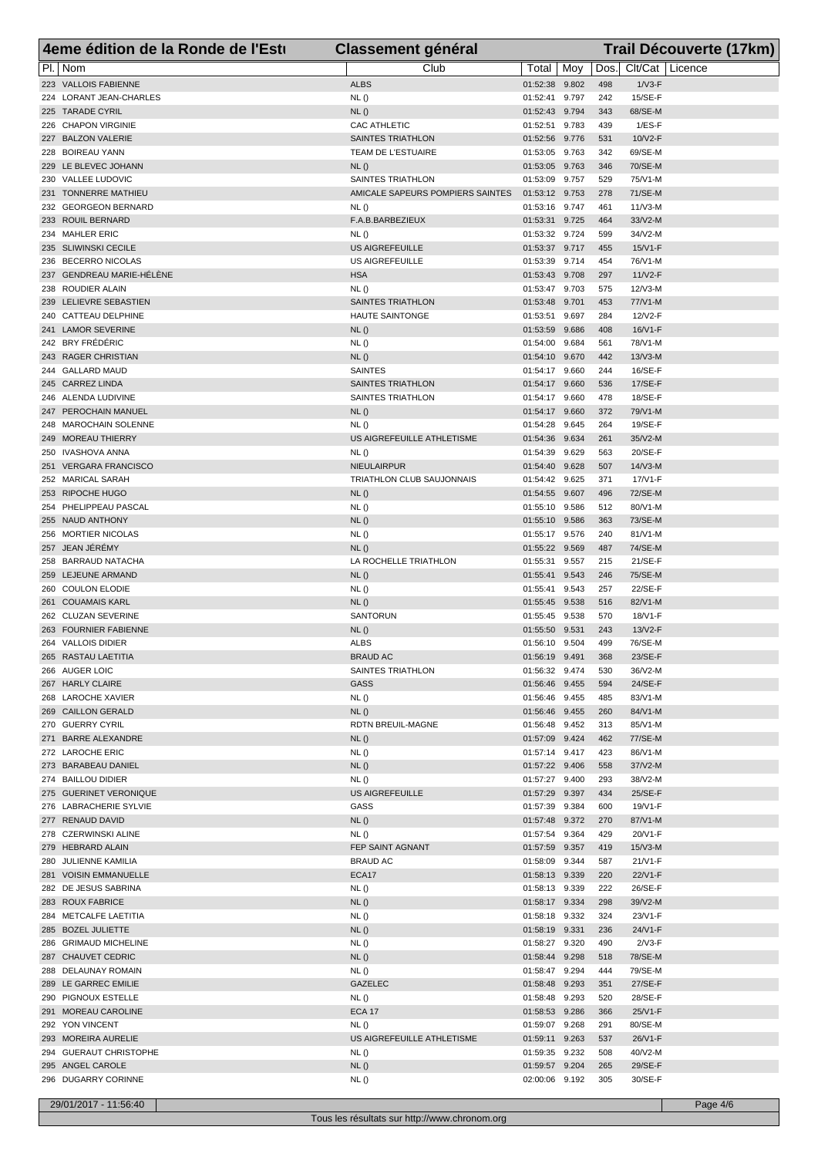| 4eme édition de la Ronde de l'Esti               | <b>Classement général</b>                |                                  |     |            | Trail Découverte (17km) |
|--------------------------------------------------|------------------------------------------|----------------------------------|-----|------------|-------------------------|
| PI.   Nom                                        | Club                                     | Total                            | Moy | Dos.       | Clt/Cat   Licence       |
| 223 VALLOIS FABIENNE                             | <b>ALBS</b>                              | 01:52:38 9.802                   |     | 498        | $1/\nu$ 3-F             |
| 224 LORANT JEAN-CHARLES                          | NL()                                     | 01:52:41 9.797                   |     | 242        | 15/SE-F                 |
| 225 TARADE CYRIL                                 | NL()                                     | 01:52:43 9.794                   |     | 343        | 68/SE-M                 |
| 226 CHAPON VIRGINIE<br>227 BALZON VALERIE        | CAC ATHLETIC<br><b>SAINTES TRIATHLON</b> | 01:52:51 9.783<br>01:52:56 9.776 |     | 439<br>531 | $1/ES-F$<br>$10/N2$ -F  |
| 228 BOIREAU YANN                                 | TEAM DE L'ESTUAIRE                       | 01:53:05 9.763                   |     | 342        | 69/SE-M                 |
| 229 LE BLEVEC JOHANN                             | NL()                                     | 01:53:05 9.763                   |     | 346        | 70/SE-M                 |
| 230 VALLEE LUDOVIC                               | SAINTES TRIATHLON                        | 01:53:09 9.757                   |     | 529        | 75/V1-M                 |
| 231 TONNERRE MATHIEU                             | AMICALE SAPEURS POMPIERS SAINTES         | 01:53:12 9.753                   |     | 278        | 71/SE-M                 |
| 232 GEORGEON BERNARD                             | NL()                                     | 01:53:16 9.747                   |     | 461        | $11/N3-M$               |
| 233 ROUIL BERNARD<br>234 MAHLER ERIC             | F.A.B.BARBEZIEUX<br>NL()                 | 01:53:31 9.725<br>01:53:32 9.724 |     | 464<br>599 | 33/V2-M<br>34/V2-M      |
| 235 SLIWINSKI CECILE                             | <b>US AIGREFEUILLE</b>                   | 01:53:37 9.717                   |     | 455        | $15/N1-F$               |
| 236 BECERRO NICOLAS                              | US AIGREFEUILLE                          | 01:53:39 9.714                   |     | 454        | 76/V1-M                 |
| 237 GENDREAU MARIE-HÉLÈNE                        | <b>HSA</b>                               | 01:53:43 9.708                   |     | 297        | $11N2-F$                |
| 238 ROUDIER ALAIN                                | NL ()                                    | 01:53:47 9.703                   |     | 575        | 12/V3-M                 |
| 239 LELIEVRE SEBASTIEN                           | SAINTES TRIATHLON                        | 01:53:48 9.701                   |     | 453        | 77/V1-M                 |
| 240 CATTEAU DELPHINE<br>241 LAMOR SEVERINE       | <b>HAUTE SAINTONGE</b><br>NL()           | 01:53:51 9.697<br>01:53:59 9.686 |     | 284<br>408 | 12/V2-F<br>$16/N1-F$    |
| 242 BRY FRÉDÉRIC                                 | NL()                                     | 01:54:00 9.684                   |     | 561        | 78/V1-M                 |
| 243 RAGER CHRISTIAN                              | NL()                                     | 01:54:10 9.670                   |     | 442        | $13/N3-M$               |
| 244 GALLARD MAUD                                 | <b>SAINTES</b>                           | 01:54:17 9.660                   |     | 244        | 16/SE-F                 |
| 245 CARREZ LINDA                                 | <b>SAINTES TRIATHLON</b>                 | 01:54:17 9.660                   |     | 536        | 17/SE-F                 |
| 246 ALENDA LUDIVINE                              | SAINTES TRIATHLON                        | 01:54:17 9.660                   |     | 478        | 18/SE-F                 |
| 247 PEROCHAIN MANUEL<br>248 MAROCHAIN SOLENNE    | NL()                                     | 01:54:17 9.660<br>01:54:28 9.645 |     | 372<br>264 | 79/V1-M<br>19/SE-F      |
| 249 MOREAU THIERRY                               | NL()<br>US AIGREFEUILLE ATHLETISME       | 01:54:36 9.634                   |     | 261        | 35/V2-M                 |
| 250 IVASHOVA ANNA                                | NL()                                     | 01:54:39 9.629                   |     | 563        | 20/SE-F                 |
| 251 VERGARA FRANCISCO                            | NIEULAIRPUR                              | 01:54:40 9.628                   |     | 507        | $14/N3$ -M              |
| 252 MARICAL SARAH                                | TRIATHLON CLUB SAUJONNAIS                | 01:54:42 9.625                   |     | 371        | 17/V1-F                 |
| 253 RIPOCHE HUGO                                 | NL()                                     | 01:54:55 9.607                   |     | 496        | 72/SE-M                 |
| 254 PHELIPPEAU PASCAL<br>255 NAUD ANTHONY        | NL()                                     | 01:55:10 9.586                   |     | 512        | 80/V1-M                 |
| 256 MORTIER NICOLAS                              | NL()<br>NL()                             | 01:55:10 9.586<br>01:55:17 9.576 |     | 363<br>240 | 73/SE-M<br>$81/N1-M$    |
| 257 JEAN JÉRÉMY                                  | NL()                                     | 01:55:22 9.569                   |     | 487        | 74/SE-M                 |
| 258 BARRAUD NATACHA                              | LA ROCHELLE TRIATHLON                    | 01:55:31 9.557                   |     | 215        | 21/SE-F                 |
| 259 LEJEUNE ARMAND                               | NL()                                     | 01:55:41 9.543                   |     | 246        | 75/SE-M                 |
| 260 COULON ELODIE                                | NL()                                     | 01:55:41 9.543                   |     | 257        | 22/SE-F                 |
| 261 COUAMAIS KARL<br>262 CLUZAN SEVERINE         | NL()                                     | 01:55:45 9.538                   |     | 516<br>570 | 82/V1-M                 |
| 263 FOURNIER FABIENNE                            | SANTORUN<br>NL()                         | 01:55:45 9.538<br>01:55:50 9.531 |     | 243        | 18/V1-F<br>$13/N2-F$    |
| 264 VALLOIS DIDIER                               | <b>ALBS</b>                              | 01:56:10 9.504                   |     | 499        | 76/SE-M                 |
| 265 RASTAU LAETITIA                              | <b>BRAUD AC</b>                          | 01:56:19 9.491                   |     | 368        | 23/SE-F                 |
| 266 AUGER LOIC                                   | SAINTES TRIATHLON                        | 01:56:32 9.474                   |     | 530        | 36/V2-M                 |
| 267 HARLY CLAIRE                                 | <b>GASS</b>                              | 01:56:46 9.455                   |     | 594        | 24/SE-F                 |
| 268 LAROCHE XAVIER<br>269 CAILLON GERALD         | NL()<br>NL()                             | 01:56:46 9.455<br>01:56:46 9.455 |     | 485<br>260 | 83/V1-M<br>84/V1-M      |
| 270 GUERRY CYRIL                                 | RDTN BREUIL-MAGNE                        | 01:56:48 9.452                   |     | 313        | 85/V1-M                 |
| 271 BARRE ALEXANDRE                              | NL()                                     | 01:57:09 9.424                   |     | 462        | 77/SE-M                 |
| 272 LAROCHE ERIC                                 | NL ()                                    | 01:57:14 9.417                   |     | 423        | 86/V1-M                 |
| 273 BARABEAU DANIEL                              | NL()                                     | 01:57:22 9.406                   |     | 558        | 37/V2-M                 |
| 274 BAILLOU DIDIER                               | <b>NL()</b>                              | 01:57:27 9.400                   |     | 293        | 38/V2-M                 |
| 275 GUERINET VERONIQUE<br>276 LABRACHERIE SYLVIE | <b>US AIGREFEUILLE</b><br>GASS           | 01:57:29 9.397<br>01:57:39 9.384 |     | 434<br>600 | 25/SE-F<br>19/V1-F      |
| 277 RENAUD DAVID                                 | NL()                                     | 01:57:48 9.372                   |     | 270        | 87/V1-M                 |
| 278 CZERWINSKI ALINE                             | <b>NL()</b>                              | 01:57:54 9.364                   |     | 429        | 20/V1-F                 |
| 279 HEBRARD ALAIN                                | FEP SAINT AGNANT                         | 01:57:59 9.357                   |     | 419        | $15/N3-M$               |
| 280 JULIENNE KAMILIA                             | <b>BRAUD AC</b>                          | 01:58:09 9.344                   |     | 587        | 21/V1-F                 |
| 281 VOISIN EMMANUELLE                            | ECA17                                    | 01:58:13 9.339                   |     | 220        | 22/V1-F<br>26/SE-F      |
| 282 DE JESUS SABRINA<br>283 ROUX FABRICE         | <b>NL()</b><br>NL()                      | 01:58:13 9.339<br>01:58:17 9.334 |     | 222<br>298 | 39/V2-M                 |
| 284 METCALFE LAETITIA                            | NL ()                                    | 01:58:18 9.332                   |     | 324        | 23/V1-F                 |
| 285 BOZEL JULIETTE                               | NL()                                     | 01:58:19 9.331                   |     | 236        | 24/V1-F                 |
| 286 GRIMAUD MICHELINE                            | NL()                                     | 01:58:27 9.320                   |     | 490        | $2/N3-F$                |
| 287 CHAUVET CEDRIC                               | NL()                                     | 01:58:44 9.298                   |     | 518        | 78/SE-M                 |
| 288 DELAUNAY ROMAIN                              | NL()<br><b>GAZELEC</b>                   | 01:58:47 9.294                   |     | 444        | 79/SE-M                 |
| 289 LE GARREC EMILIE<br>290 PIGNOUX ESTELLE      | NL ()                                    | 01:58:48 9.293<br>01:58:48 9.293 |     | 351<br>520 | 27/SE-F<br>28/SE-F      |
| 291 MOREAU CAROLINE                              | <b>ECA 17</b>                            | 01:58:53 9.286                   |     | 366        | 25/V1-F                 |
| 292 YON VINCENT                                  | NL ()                                    | 01:59:07 9.268                   |     | 291        | 80/SE-M                 |
| 293 MOREIRA AURELIE                              | US AIGREFEUILLE ATHLETISME               | 01:59:11 9.263                   |     | 537        | 26/V1-F                 |
| 294 GUERAUT CHRISTOPHE                           | NL()                                     | 01:59:35 9.232                   |     | 508        | 40/V2-M                 |
| 295 ANGEL CAROLE<br>296 DUGARRY CORINNE          | NL()<br>NL()                             | 01:59:57 9.204<br>02:00:06 9.192 |     | 265<br>305 | 29/SE-F<br>30/SE-F      |
|                                                  |                                          |                                  |     |            |                         |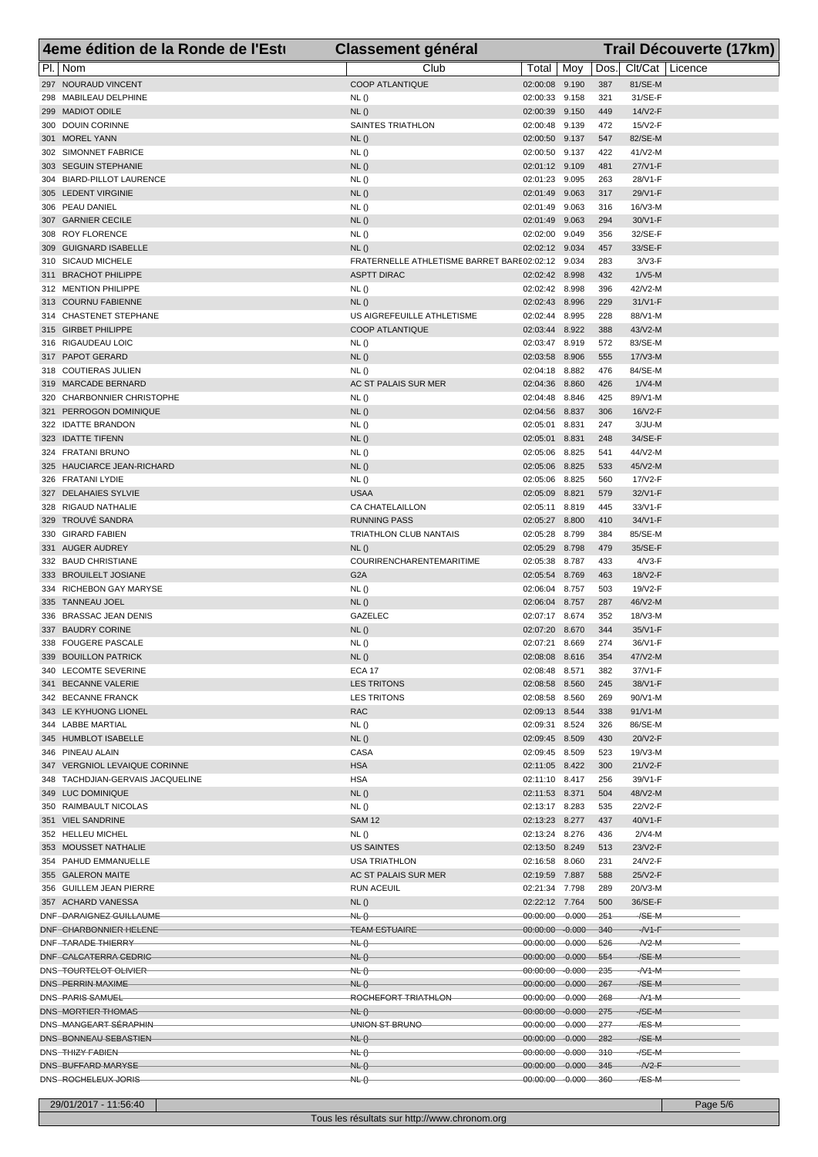| 4eme édition de la Ronde de l'Esti                | <b>Classement général</b>                                 |                                             |       |                   | Trail Découverte (17km) |
|---------------------------------------------------|-----------------------------------------------------------|---------------------------------------------|-------|-------------------|-------------------------|
| PI.   Nom                                         | Club                                                      | Total   Moy                                 |       | Dos.              | Clt/Cat   Licence       |
| 297 NOURAUD VINCENT                               | <b>COOP ATLANTIQUE</b>                                    | 02:00:08 9.190                              |       | 387               | 81/SE-M                 |
| 298 MABILEAU DELPHINE                             | NL()                                                      | 02:00:33 9.158                              |       | 321               | 31/SE-F                 |
| 299 MADIOT ODILE                                  | NL()                                                      | 02:00:39 9.150                              |       | 449               | 14/V2-F                 |
| 300 DOUIN CORINNE<br>301 MOREL YANN               | SAINTES TRIATHLON<br>NL()                                 | 02:00:48 9.139                              |       | 472<br>547        | $15/N2-F$<br>82/SE-M    |
| 302 SIMONNET FABRICE                              | NL()                                                      | 02:00:50 9.137<br>02:00:50 9.137            |       | 422               | 41/V2-M                 |
| 303 SEGUIN STEPHANIE                              | NL()                                                      | 02:01:12 9.109                              |       | 481               | 27/V1-F                 |
| 304 BIARD-PILLOT LAURENCE                         | NL()                                                      | 02:01:23 9.095                              |       | 263               | 28/V1-F                 |
| 305 LEDENT VIRGINIE                               | NL()                                                      | 02:01:49 9.063                              |       | 317               | 29/V1-F                 |
| 306 PEAU DANIEL                                   | NL ()                                                     | 02:01:49 9.063                              |       | 316               | $16/N3-M$               |
| 307 GARNIER CECILE                                | NL()                                                      | 02:01:49 9.063                              |       | 294               | 30/V1-F                 |
| 308 ROY FLORENCE                                  | NL()                                                      | 02:02:00 9.049                              |       | 356               | 32/SE-F                 |
| 309 GUIGNARD ISABELLE<br>310 SICAUD MICHELE       | NL()<br>FRATERNELLE ATHLETISME BARRET BARE 02:02:12 9.034 | 02:02:12 9.034                              |       | 457<br>283        | 33/SE-F<br>$3/N3-F$     |
| 311 BRACHOT PHILIPPE                              | <b>ASPTT DIRAC</b>                                        | 02:02:42 8.998                              |       | 432               | $1/N5$ -M               |
| 312 MENTION PHILIPPE                              | NL()                                                      | 02:02:42 8.998                              |       | 396               | 42/V2-M                 |
| 313 COURNU FABIENNE                               | NL()                                                      | 02:02:43 8.996                              |       | 229               | $31/N1-F$               |
| 314 CHASTENET STEPHANE                            | US AIGREFEUILLE ATHLETISME                                | 02:02:44 8.995                              |       | 228               | 88/V1-M                 |
| 315 GIRBET PHILIPPE                               | <b>COOP ATLANTIQUE</b>                                    | 02:03:44 8.922                              |       | 388               | 43/V2-M                 |
| 316 RIGAUDEAU LOIC                                | NL()                                                      | 02:03:47 8.919                              |       | 572               | 83/SE-M                 |
| 317 PAPOT GERARD<br>318 COUTIERAS JULIEN          | NL()<br>NL ()                                             | 02:03:58 8.906<br>02:04:18 8.882            |       | 555<br>476        | $17/N3-M$<br>84/SE-M    |
| 319 MARCADE BERNARD                               | AC ST PALAIS SUR MER                                      | 02:04:36 8.860                              |       | 426               | $1/N4-M$                |
| 320 CHARBONNIER CHRISTOPHE                        | NL()                                                      | 02:04:48 8.846                              |       | 425               | 89/V1-M                 |
| 321 PERROGON DOMINIQUE                            | NL()                                                      | 02:04:56 8.837                              |       | 306               | 16/V2-F                 |
| 322 IDATTE BRANDON                                | NL()                                                      | 02:05:01                                    | 8.831 | 247               | $3/JU-M$                |
| 323 IDATTE TIFENN                                 | NL()                                                      | 02:05:01 8.831                              |       | 248               | 34/SE-F                 |
| 324 FRATANI BRUNO                                 | NL()                                                      | 02:05:06 8.825                              |       | 541               | 44/V2-M                 |
| 325 HAUCIARCE JEAN-RICHARD                        | NL()                                                      | 02:05:06 8.825                              |       | 533               | 45/V2-M                 |
| 326 FRATANI LYDIE<br>327 DELAHAIES SYLVIE         | NL()<br><b>USAA</b>                                       | 02:05:06 8.825<br>02:05:09 8.821            |       | 560<br>579        | 17/V2-F<br>32/V1-F      |
| 328 RIGAUD NATHALIE                               | CA CHATELAILLON                                           | 02:05:11 8.819                              |       | 445               | 33/V1-F                 |
| 329 TROUVÉ SANDRA                                 | <b>RUNNING PASS</b>                                       | 02:05:27 8.800                              |       | 410               | 34/V1-F                 |
| 330 GIRARD FABIEN                                 | TRIATHLON CLUB NANTAIS                                    | 02:05:28 8.799                              |       | 384               | 85/SE-M                 |
| 331 AUGER AUDREY                                  | NL()                                                      | 02:05:29 8.798                              |       | 479               | 35/SE-F                 |
| 332 BAUD CHRISTIANE                               | <b>COURIRENCHARENTEMARITIME</b>                           | 02:05:38 8.787                              |       | 433               | $4/N3-F$                |
| 333 BROUILELT JOSIANE                             | G <sub>2</sub> A                                          | 02:05:54 8.769                              |       | 463               | 18/V2-F                 |
| 334 RICHEBON GAY MARYSE<br>335 TANNEAU JOEL       | NL()<br>NL()                                              | 02:06:04 8.757<br>02:06:04 8.757            |       | 503<br>287        | 19/V2-F<br>46/V2-M      |
| 336 BRASSAC JEAN DENIS                            | GAZELEC                                                   | 02:07:17 8.674                              |       | 352               | 18/V3-M                 |
| 337 BAUDRY CORINE                                 | NL()                                                      | 02:07:20 8.670                              |       | 344               | 35/V1-F                 |
| 338 FOUGERE PASCALE                               | NL()                                                      | 02:07:21 8.669                              |       | 274               | 36/V1-F                 |
| 339 BOUILLON PATRICK                              | NL()                                                      | 02:08:08 8.616                              |       | 354               | 47/V2-M                 |
| 340 LECOMTE SEVERINE                              | ECA 17                                                    | 02:08:48 8.571                              |       | 382               | 37/V1-F                 |
| 341 BECANNE VALERIE                               | <b>LES TRITONS</b>                                        | 02:08:58 8.560                              |       | 245               | 38/V1-F                 |
| 342 BECANNE FRANCK<br>343 LE KYHUONG LIONEL       | <b>LES TRITONS</b><br><b>RAC</b>                          | 02:08:58 8.560<br>02:09:13 8.544            |       | 269<br>338        | 90/V1-M<br>$91/V1-M$    |
| 344 LABBE MARTIAL                                 | <b>NL()</b>                                               | 02:09:31 8.524                              |       | 326               | 86/SE-M                 |
| 345 HUMBLOT ISABELLE                              | NL()                                                      | 02:09:45 8.509                              |       | 430               | 20/V2-F                 |
| 346 PINEAU ALAIN                                  | CASA                                                      | 02:09:45 8.509                              |       | 523               | 19/V3-M                 |
| 347 VERGNIOL LEVAIQUE CORINNE                     | <b>HSA</b>                                                | 02:11:05 8.422                              |       | 300               | 21/V2-F                 |
| 348 TACHDJIAN-GERVAIS JACQUELINE                  | <b>HSA</b>                                                | 02:11:10 8.417                              |       | 256               | 39/V1-F                 |
| 349 LUC DOMINIQUE                                 | NL()                                                      | 02:11:53 8.371                              |       | 504               | 48/V2-M                 |
| 350 RAIMBAULT NICOLAS<br>351 VIEL SANDRINE        | NL ()<br><b>SAM 12</b>                                    | 02:13:17 8.283<br>02:13:23 8.277            |       | 535<br>437        | 22/V2-F<br>40/V1-F      |
| 352 HELLEU MICHEL                                 | NL ()                                                     | 02:13:24 8.276                              |       | 436               | $2/N4-M$                |
| 353 MOUSSET NATHALIE                              | <b>US SAINTES</b>                                         | 02:13:50 8.249                              |       | 513               | 23/V2-F                 |
| 354 PAHUD EMMANUELLE                              | <b>USA TRIATHLON</b>                                      | 02:16:58 8.060                              |       | 231               | 24/V2-F                 |
| 355 GALERON MAITE                                 | AC ST PALAIS SUR MER                                      | 02:19:59 7.887                              |       | 588               | 25/V2-F                 |
| 356 GUILLEM JEAN PIERRE                           | <b>RUN ACEUIL</b>                                         | 02:21:34 7.798                              |       | 289               | 20/V3-M                 |
| 357 ACHARD VANESSA                                | NL()                                                      | 02:22:12 7.764                              |       | 500               | 36/SE-F                 |
| DNF-DARAIGNEZ GUILLAUME<br>DNF-CHARBONNIER HELENE | N L()<br><b>TEAM ESTUAIRE</b>                             | 00:00:00 -0.000<br>00:00:00 -0.000          |       | $-251$<br>$340 -$ | $-$ /SE-M<br>$-N1-F$    |
| DNF-TARADE THIERRY                                | N L()                                                     | 00:00:00 -0.000 526                         |       |                   | $ N2-M$                 |
| DNF-CALCATERRA CEDRIC                             | HL()                                                      | $00:00:00 - 0.000$                          |       | 554               | $/SE-M$                 |
| DNS-TOURTELOT OLIVIER                             | NL()                                                      | 00:00:00 -0.000 235                         |       |                   | $ N1-M$                 |
| DNS-PERRIN MAXIME                                 | HL()                                                      | 00:00:00  0.000  267                        |       |                   | $/SE-M$                 |
| DNS-PARIS SAMUEL                                  | ROCHEFORT TRIATHLON                                       | 00:00:00 -0.000 268                         |       |                   | $ N1 - M$               |
| DNS-MORTIER THOMAS                                | HL()                                                      | 00:00:00  0.000  275                        |       |                   | $-$ /SE-M               |
| DNS-MANGEART SÉRAPHIN<br>DNS-BONNEAU SEBASTIEN    | UNION ST BRUNO<br>NL()                                    | 00:00:00 -0.000 277<br>00:00:00  0.000  282 |       |                   | -/ES-M<br>$/SE-M$       |
| DNS-THIZY FABIEN-                                 | N L()                                                     | 00:00:00 -0.000 310                         |       |                   | -/SE-M                  |
| DNS-BUFFARD MARYSE                                | N L()                                                     | 00:00:00  0.000  345                        |       |                   | $-N2-F$                 |
| DNS-ROCHELEUX JORIS                               | HL()                                                      | 00:00:00 0.000 360                          |       |                   | -⁄ES-M                  |

29/01/2017 - 11:56:40 Page 5/6